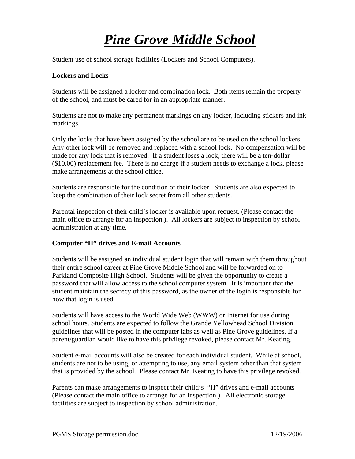## *Pine Grove Middle School*

Student use of school storage facilities (Lockers and School Computers).

## **Lockers and Locks**

Students will be assigned a locker and combination lock. Both items remain the property of the school, and must be cared for in an appropriate manner.

Students are not to make any permanent markings on any locker, including stickers and ink markings.

Only the locks that have been assigned by the school are to be used on the school lockers. Any other lock will be removed and replaced with a school lock. No compensation will be made for any lock that is removed. If a student loses a lock, there will be a ten-dollar (\$10.00) replacement fee. There is no charge if a student needs to exchange a lock, please make arrangements at the school office.

Students are responsible for the condition of their locker. Students are also expected to keep the combination of their lock secret from all other students.

Parental inspection of their child's locker is available upon request. (Please contact the main office to arrange for an inspection.). All lockers are subject to inspection by school administration at any time.

## **Computer "H" drives and E-mail Accounts**

Students will be assigned an individual student login that will remain with them throughout their entire school career at Pine Grove Middle School and will be forwarded on to Parkland Composite High School. Students will be given the opportunity to create a password that will allow access to the school computer system. It is important that the student maintain the secrecy of this password, as the owner of the login is responsible for how that login is used.

Students will have access to the World Wide Web (WWW) or Internet for use during school hours. Students are expected to follow the Grande Yellowhead School Division guidelines that will be posted in the computer labs as well as Pine Grove guidelines. If a parent/guardian would like to have this privilege revoked, please contact Mr. Keating.

Student e-mail accounts will also be created for each individual student. While at school, students are not to be using, or attempting to use, any email system other than that system that is provided by the school. Please contact Mr. Keating to have this privilege revoked.

Parents can make arrangements to inspect their child's "H" drives and e-mail accounts (Please contact the main office to arrange for an inspection.). All electronic storage facilities are subject to inspection by school administration.